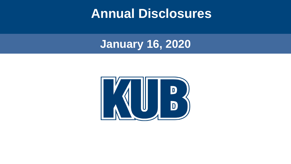#### **Annual Disclosures**

**January 16, 2020**

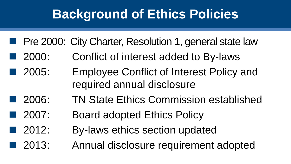## **Background of Ethics Policies**

- Pre 2000: City Charter, Resolution 1, general state law
- ◼ 2000: Conflict of interest added to By-laws
- 2005: Employee Conflict of Interest Policy and required annual disclosure
- 2006: TN State Ethics Commission established
- 2007: Board adopted Ethics Policy
- 2012: By-laws ethics section updated
- 2013: Annual disclosure requirement adopted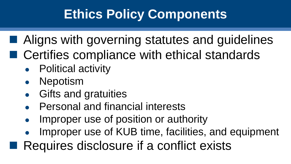# **Ethics Policy Components**

- Aligns with governing statutes and guidelines
- Certifies compliance with ethical standards
	- **Political activity**
	- Nepotism
	- Gifts and gratuities
	- **Personal and financial interests**
	- Improper use of position or authority
	- Improper use of KUB time, facilities, and equipment
- $\blacksquare$  Requires disclosure if a conflict exists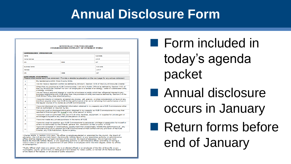## **Annual Disclosure Form**

|                      |                                                                                                                                               | <b>KNOXVILLE UTILITIES BOARD</b><br><b>COMMISSIONER CONFLICT OF INTEREST FORM</b>                                                                                                                                                                                                |  |               |  |
|----------------------|-----------------------------------------------------------------------------------------------------------------------------------------------|----------------------------------------------------------------------------------------------------------------------------------------------------------------------------------------------------------------------------------------------------------------------------------|--|---------------|--|
|                      | <b>COMMISSIONER INFORMATION</b>                                                                                                               |                                                                                                                                                                                                                                                                                  |  |               |  |
| <b>Name:</b>         |                                                                                                                                               |                                                                                                                                                                                                                                                                                  |  | KILLER Andrea |  |
| Home Address         |                                                                                                                                               |                                                                                                                                                                                                                                                                                  |  | Unit #        |  |
| City                 |                                                                                                                                               | <b>State</b>                                                                                                                                                                                                                                                                     |  | 71P           |  |
| <b>Rudineed Name</b> |                                                                                                                                               |                                                                                                                                                                                                                                                                                  |  | KLIR Ante.    |  |
|                      |                                                                                                                                               |                                                                                                                                                                                                                                                                                  |  |               |  |
| Address              |                                                                                                                                               |                                                                                                                                                                                                                                                                                  |  | Linit #       |  |
| atv                  |                                                                                                                                               | <b>State</b>                                                                                                                                                                                                                                                                     |  | 21P           |  |
|                      | DISCLOSURE STATEMENTS<br>Please initial beside each true statement. Provide a detailed explanation on the next page for any untrue statement. |                                                                                                                                                                                                                                                                                  |  |               |  |
| ٠                    | My residence is within Knox County limits.                                                                                                    |                                                                                                                                                                                                                                                                                  |  |               |  |
| ٠                    |                                                                                                                                               | I do not have a nepotism conflict as defined by Article X. Section 1016 of the City of Knoxville Charter."                                                                                                                                                                       |  |               |  |
| з                    | or energy company.                                                                                                                            | Other than my position as KUB Commissioner, I am not a Public Official as defined by Section 1102 of<br>the City of Knoxville Charter <sup>2</sup> nor am I an employee or a retiree of an energy, water or wastewater utility                                                   |  |               |  |
| ٠                    |                                                                                                                                               | I do not have a personal interest or work for a business or entity which has a financial interest in any<br>business relationship with KUB other than the purchase of utility services as defined by Section 2 of the<br>KUB Ethics Policy (see attached policy).                |  |               |  |
| ×                    |                                                                                                                                               | I have not directly or indirectly accepted any money, gift, gratuity, or other consideration or favor of any<br>kind from anyone other than KUB for the performance of an act or refraining from performance of act in<br>the regular course of my duties as a KUB Commissioner. |  |               |  |
| ٠                    |                                                                                                                                               | I have not disclosed any confidential information obtained in my capacity as a KUB Commissioner other<br>than as authorized or required by law.                                                                                                                                  |  |               |  |
| ÷                    |                                                                                                                                               | I have not used or disclosed information obtained in my capacity as KUB Commissioner in a way that<br>resulted in financial gain for myself or any other person or entity.                                                                                                       |  |               |  |
| $\mathbf{r}$         |                                                                                                                                               | I have not used or authorized the use of KUB time, facilities, equipment, or supplies for private gain or<br>advantage to myself or any other private person or entity.                                                                                                          |  |               |  |
| $\bullet$            | I have not made any private purchase in the name of KUB.                                                                                      |                                                                                                                                                                                                                                                                                  |  |               |  |
| 10                   |                                                                                                                                               | I have not used my position as a KUB Commissioner to secure any privilege or exemption for myself or<br>others not authorized by the Charter, general law, resolution, by-law or policy of KUB.                                                                                  |  |               |  |
| m                    |                                                                                                                                               | I have not accepted or continued any employment that unreasonably inhibits the performance of any<br>affirmative duty of my position as KUB Commissioner or that conflict with any provision of the KUB<br>Charter, any KUB Resolution, Bylaw or policy.                         |  |               |  |

Charter Article X, Section 1016 says, "No officer or employee elected or appointed by the council, the board of education, the civil service merit board, the Knoxville Utilities Board, or any appointing authority or administrative officer shall be related to any of said members of the council, the board of education, the civil service ment board, the Knoxville Utilities Board, or any appointing authority or administrative officer controlling or having a vote or voice in the election or appointment of said officer or employee within the third degree, either by affinity or consanguinity.

<sup>2</sup> Public Official shall mean any person who is an elected official or an employee of the City of Knoxville or any municipality, county government, or state government except for notary public, a member of the National Guard of the State of Tennessee, or employee of public education.

■ Form included in today's agenda packet

■ Annual disclosure occurs in January

■ Return forms before end of January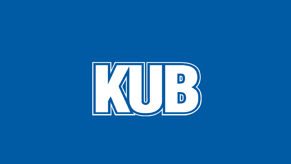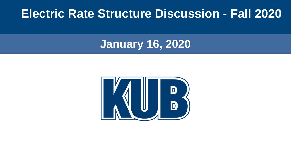#### **Electric Rate Structure Discussion - Fall 2020**

**January 16, 2020**

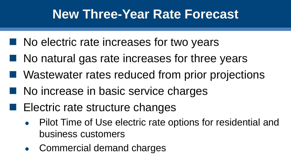## **New Three-Year Rate Forecast**

- $\blacksquare$  No electric rate increases for two years
- $\blacksquare$  No natural gas rate increases for three years
- Wastewater rates reduced from prior projections
- No increase in basic service charges
- $\blacksquare$  Electric rate structure changes
	- Pilot Time of Use electric rate options for residential and business customers
	- Commercial demand charges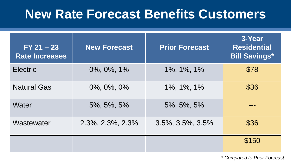### **New Rate Forecast Benefits Customers**

| $FY 21 - 23$<br><b>Rate Increases</b> | <b>New Forecast</b> | <b>Prior Forecast</b>       | 3-Year<br><b>Residential</b><br><b>Bill Savings*</b> |
|---------------------------------------|---------------------|-----------------------------|------------------------------------------------------|
| <b>Electric</b>                       | 0%, 0%, 1%          | 1%, 1%, 1%                  | \$78                                                 |
| <b>Natural Gas</b>                    | 0%, 0%, 0%          | 1%, 1%, 1%                  | \$36                                                 |
| Water                                 | 5%, 5%, 5%          | 5%, 5%, 5%                  |                                                      |
| Wastewater                            | 2.3%, 2.3%, 2.3%    | $3.5\%$ , $3.5\%$ , $3.5\%$ | \$36                                                 |
|                                       |                     |                             | \$150                                                |

*\* Compared to Prior Forecast*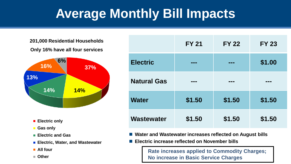# **Average Monthly Bill Impacts**

#### **201,000 Residential Households**

#### **Only 16% have all four services**



- Electric only
- **Gas only**
- **Electric and Gas**
- **Electric, Water, and Wastewater**
- **All four**
- **Other**

|                    | <b>FY 21</b> | <b>FY 22</b> | <b>FY 23</b> |
|--------------------|--------------|--------------|--------------|
| <b>Electric</b>    | ---          | ---          | \$1.00       |
| <b>Natural Gas</b> | ---          | ---          | ---          |
| <b>Water</b>       | \$1.50       | \$1.50       | \$1.50       |
| Wastewater         | \$1.50       | \$1.50       | \$1.50       |

- ◼ **Water and Wastewater increases reflected on August bills**
- ◼ **Electric increase reflected on November bills**

**Rate increases applied to Commodity Charges; No increase in Basic Service Charges**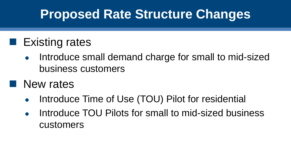## **Proposed Rate Structure Changes**

#### $\blacksquare$  Existing rates

- Introduce small demand charge for small to mid-sized business customers
- New rates
	- Introduce Time of Use (TOU) Pilot for residential
	- Introduce TOU Pilots for small to mid-sized business customers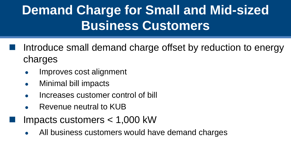# **Demand Charge for Small and Mid-sized Business Customers**

Introduce small demand charge offset by reduction to energy charges

- Improves cost alignment
- **Minimal bill impacts**
- Increases customer control of bill
- Revenue neutral to KUB
- Impacts customers  $<$  1,000 kW
- All business customers would have demand charges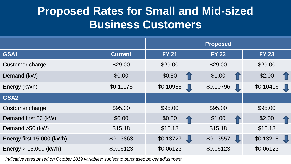#### **Proposed Rates for Small and Mid-sized Business Customers**

|                           |                | <b>Proposed</b> |              |              |
|---------------------------|----------------|-----------------|--------------|--------------|
| GSA1                      | <b>Current</b> | <b>FY 21</b>    | <b>FY 22</b> | <b>FY 23</b> |
| Customer charge           | \$29.00        | \$29.00         | \$29.00      | \$29.00      |
| Demand (kW)               | \$0.00         | \$0.50          | \$1.00       | \$2.00       |
| Energy (kWh)              | \$0.11175      | \$0.10985<br>4  | \$0.10796    | \$0.10416    |
| GSA2                      |                |                 |              |              |
| Customer charge           | \$95.00        | \$95.00         | \$95.00      | \$95.00      |
| Demand first 50 (kW)      | \$0.00         | \$0.50          | \$1.00       | \$2.00       |
| Demand $>50$ (kW)         | \$15.18        | \$15.18         | \$15.18      | \$15.18      |
| Energy first 15,000 (kWh) | \$0.13863      | \$0.13727       | \$0.13557    | \$0.13218    |
| Energy $> 15,000$ (kWh)   | \$0.06123      | \$0.06123       | \$0.06123    | \$0.06123    |

*Indicative rates based on October 2019 variables; subject to purchased power adjustment.*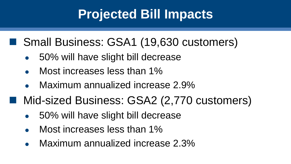# **Projected Bill Impacts**

#### ■ Small Business: GSA1 (19,630 customers)

- 50% will have slight bill decrease
- Most increases less than 1%
- Maximum annualized increase 2.9%
- Mid-sized Business: GSA2 (2,770 customers)
	- 50% will have slight bill decrease
	- Most increases less than 1%
	- Maximum annualized increase 2.3%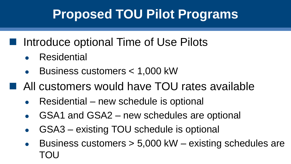# **Proposed TOU Pilot Programs**

#### ■ Introduce optional Time of Use Pilots

- **Residential**
- Business customers < 1,000 kW
- All customers would have TOU rates available
	- Residential new schedule is optional
	- GSA1 and GSA2 new schedules are optional
	- GSA3 existing TOU schedule is optional
	- Business customers  $> 5,000$  kW existing schedules are TOU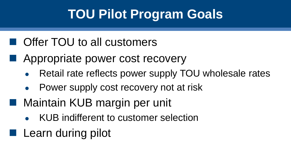# **TOU Pilot Program Goals**

#### ■ Offer TOU to all customers

- Appropriate power cost recovery
	- Retail rate reflects power supply TOU wholesale rates
	- Power supply cost recovery not at risk
- Maintain KUB margin per unit
	- KUB indifferent to customer selection
- Learn during pilot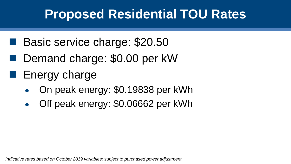## **Proposed Residential TOU Rates**

- Basic service charge: \$20.50
- Demand charge: \$0.00 per kW
- $\blacksquare$  Energy charge
	- On peak energy: \$0.19838 per kWh
	- Off peak energy: \$0.06662 per kWh

*Indicative rates based on October 2019 variables; subject to purchased power adjustment.*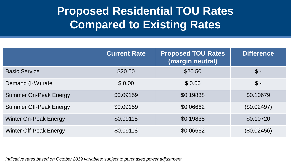#### **Proposed Residential TOU Rates Compared to Existing Rates**

|                               | <b>Current Rate</b> | <b>Proposed TOU Rates</b><br>(margin neutral) | <b>Difference</b> |
|-------------------------------|---------------------|-----------------------------------------------|-------------------|
| <b>Basic Service</b>          | \$20.50             | \$20.50                                       | $\mathbb{S}$ -    |
| Demand (KW) rate              | \$0.00              | \$0.00                                        | $\mathcal{S}$ -   |
| <b>Summer On-Peak Energy</b>  | \$0.09159           | \$0.19838                                     | \$0.10679         |
| <b>Summer Off-Peak Energy</b> | \$0.09159           | \$0.06662                                     | (\$0.02497)       |
| <b>Winter On-Peak Energy</b>  | \$0.09118           | \$0.19838                                     | \$0.10720         |
| <b>Winter Off-Peak Energy</b> | \$0.09118           | \$0.06662                                     | (\$0.02456)       |

*Indicative rates based on October 2019 variables; subject to purchased power adjustment.*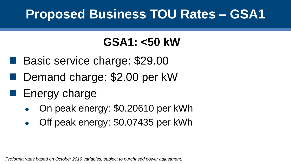## **Proposed Business TOU Rates – GSA1**

### **GSA1: <50 kW**

- Basic service charge: \$29.00
- Demand charge: \$2.00 per kW

## ■ Energy charge

- On peak energy: \$0.20610 per kWh
- Off peak energy: \$0.07435 per kWh

*Proforma rates based on October 2019 variables; subject to purchased power adjustment.*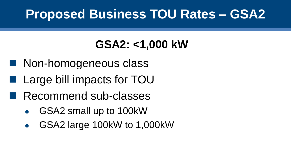## **Proposed Business TOU Rates – GSA2**

## **GSA2: <1,000 kW**

- Non-homogeneous class
- Large bill impacts for TOU
- Recommend sub-classes
	- GSA2 small up to 100kW
	- GSA2 large 100kW to 1,000kW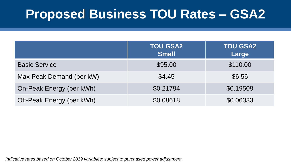## **Proposed Business TOU Rates – GSA2**

|                           | <b>TOU GSA2</b><br><b>Small</b> | <b>TOU GSA2</b><br>Large |
|---------------------------|---------------------------------|--------------------------|
| <b>Basic Service</b>      | \$95.00                         | \$110.00                 |
| Max Peak Demand (per kW)  | \$4.45                          | \$6.56                   |
| On-Peak Energy (per kWh)  | \$0.21794                       | \$0.19509                |
| Off-Peak Energy (per kWh) | \$0.08618                       | \$0.06333                |

*Indicative rates based on October 2019 variables; subject to purchased power adjustment.*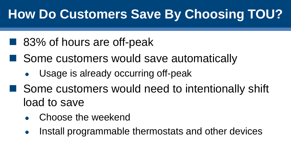# **How Do Customers Save By Choosing TOU?**

- 83% of hours are off-peak
- Some customers would save automatically
	- Usage is already occurring off-peak
- Some customers would need to intentionally shift load to save
	- Choose the weekend
	- Install programmable thermostats and other devices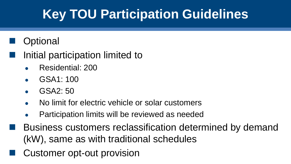# **Key TOU Participation Guidelines**

#### **Optional**

#### Initial participation limited to

- Residential: 200
- GSA1: 100
- $GSA2:50$
- No limit for electric vehicle or solar customers
- Participation limits will be reviewed as needed
- Business customers reclassification determined by demand (kW), same as with traditional schedules
	- Customer opt-out provision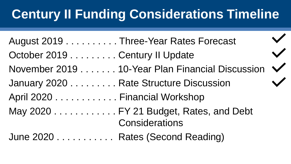# **Century II Funding Considerations Timeline**

 $\blacktriangle$ 

| August 2019 Three-Year Rates Forecast  |                                                              |  |
|----------------------------------------|--------------------------------------------------------------|--|
| October 2019 Century II Update         |                                                              |  |
|                                        | November 2019 10-Year Plan Financial Discussion $\checkmark$ |  |
| January 2020 Rate Structure Discussion |                                                              |  |
| April 2020 Financial Workshop          |                                                              |  |
|                                        | May 2020 FY 21 Budget, Rates, and Debt<br>Considerations     |  |
| June 2020 Rates (Second Reading)       |                                                              |  |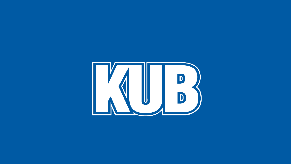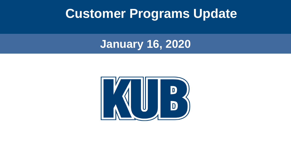### **Customer Programs Update**

**January 16, 2020**

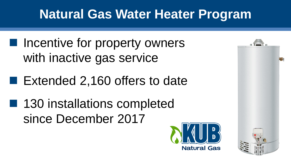# **Natural Gas Water Heater Program**

- Incentive for property owners with inactive gas service
- Extended 2,160 offers to date
- 130 installations completed since December 2017



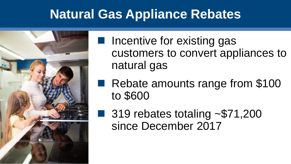## **Natural Gas Appliance Rebates**



■ Incentive for existing gas customers to convert appliances to natural gas

■ Rebate amounts range from \$100 to \$600

■ 319 rebates totaling  $~571,200$ since December 2017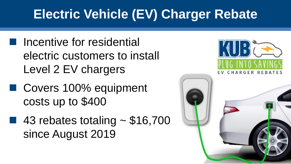# **Electric Vehicle (EV) Charger Rebate**

- Incentive for residential electric customers to install Level 2 EV chargers
- Covers 100% equipment costs up to \$400
- 43 rebates totaling  $~$  \$16,700 since August 2019



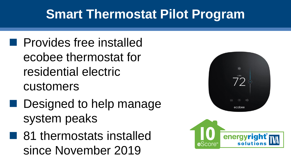# **Smart Thermostat Pilot Program**

- Provides free installed ecobee thermostat for residential electric customers
- Designed to help manage system peaks
- 81 thermostats installed since November 2019



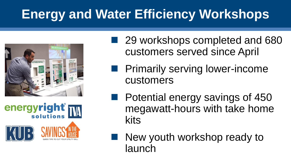# **Energy and Water Efficiency Workshops**





■ 29 workshops completed and 680 customers served since April

**Primarily serving lower-income** customers

■ Potential energy savings of 450 megawatt-hours with take home kits

New youth workshop ready to launch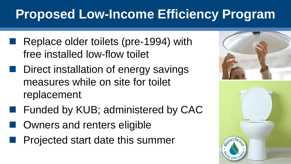# **Proposed Low-Income Efficiency Program**

- Replace older toilets (pre-1994) with free installed low-flow toilet
- Direct installation of energy savings measures while on site for toilet replacement
- Funded by KUB; administered by CAC
	- Owners and renters eligible
	- Projected start date this summer

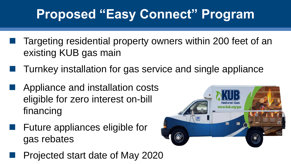# **Proposed "Easy Connect" Program**

- Targeting residential property owners within 200 feet of an existing KUB gas main
- Turnkey installation for gas service and single appliance
- ◼ Appliance and installation costs eligible for zero interest on-bill financing
- ◼ Future appliances eligible for gas rebates
	- ◼ Projected start date of May 2020

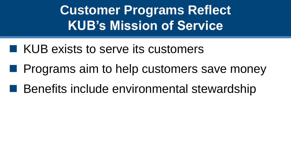**Customer Programs Reflect KUB's Mission of Service**

- KUB exists to serve its customers
- Programs aim to help customers save money
- Benefits include environmental stewardship